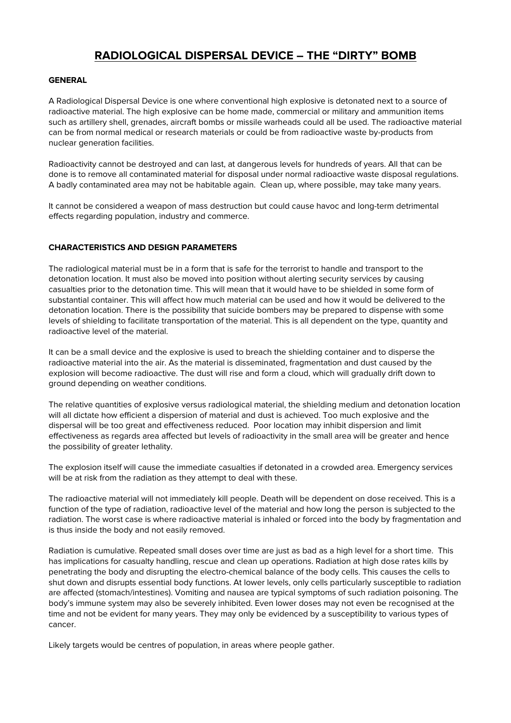## **RADIOLOGICAL DISPERSAL DEVICE – THE "DIRTY" BOMB**

## **GENERAL**

A Radiological Dispersal Device is one where conventional high explosive is detonated next to a source of radioactive material. The high explosive can be home made, commercial or military and ammunition items such as artillery shell, grenades, aircraft bombs or missile warheads could all be used. The radioactive material can be from normal medical or research materials or could be from radioactive waste by-products from nuclear generation facilities.

Radioactivity cannot be destroyed and can last, at dangerous levels for hundreds of years. All that can be done is to remove all contaminated material for disposal under normal radioactive waste disposal regulations. A badly contaminated area may not be habitable again. Clean up, where possible, may take many years.

It cannot be considered a weapon of mass destruction but could cause havoc and long-term detrimental effects regarding population, industry and commerce.

## **CHARACTERISTICS AND DESIGN PARAMETERS**

The radiological material must be in a form that is safe for the terrorist to handle and transport to the detonation location. It must also be moved into position without alerting security services by causing casualties prior to the detonation time. This will mean that it would have to be shielded in some form of substantial container. This will affect how much material can be used and how it would be delivered to the detonation location. There is the possibility that suicide bombers may be prepared to dispense with some levels of shielding to facilitate transportation of the material. This is all dependent on the type, quantity and radioactive level of the material.

It can be a small device and the explosive is used to breach the shielding container and to disperse the radioactive material into the air. As the material is disseminated, fragmentation and dust caused by the explosion will become radioactive. The dust will rise and form a cloud, which will gradually drift down to ground depending on weather conditions.

The relative quantities of explosive versus radiological material, the shielding medium and detonation location will all dictate how efficient a dispersion of material and dust is achieved. Too much explosive and the dispersal will be too great and effectiveness reduced. Poor location may inhibit dispersion and limit effectiveness as regards area affected but levels of radioactivity in the small area will be greater and hence the possibility of greater lethality.

The explosion itself will cause the immediate casualties if detonated in a crowded area. Emergency services will be at risk from the radiation as they attempt to deal with these.

The radioactive material will not immediately kill people. Death will be dependent on dose received. This is a function of the type of radiation, radioactive level of the material and how long the person is subjected to the radiation. The worst case is where radioactive material is inhaled or forced into the body by fragmentation and is thus inside the body and not easily removed.

Radiation is cumulative. Repeated small doses over time are just as bad as a high level for a short time. This has implications for casualty handling, rescue and clean up operations. Radiation at high dose rates kills by penetrating the body and disrupting the electro-chemical balance of the body cells. This causes the cells to shut down and disrupts essential body functions. At lower levels, only cells particularly susceptible to radiation are affected (stomach/intestines). Vomiting and nausea are typical symptoms of such radiation poisoning. The body's immune system may also be severely inhibited. Even lower doses may not even be recognised at the time and not be evident for many years. They may only be evidenced by a susceptibility to various types of cancer.

Likely targets would be centres of population, in areas where people gather.